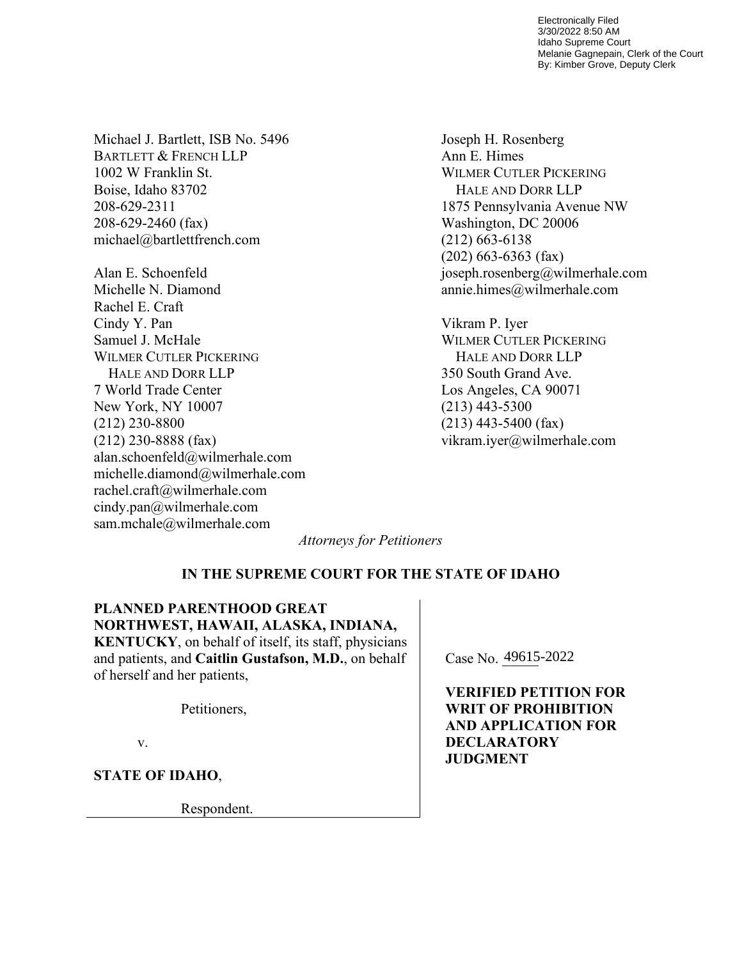Electronically Filed 3/30/2022 8:50 AM Idaho Supreme Court Melanie Gagnepain, Clerk of the Court By: Kimber Grove, Deputy Clerk

Michael J. Bartlett, ISB No. 5496 BARTLETT & FRENCH LLP 1002 W Franklin St. Boise, Idaho 83702 208-629-2311 208-629-2460 (fax) michael@bartlettfrench.com

Alan E. Schoenfeld Michelle N. Diamond Rachel E. Craft Cindy Y. Pan Samuel J. McHale WILMER CUTLER PICKERING HALE AND DORR LLP 7 World Trade Center New York, NY 10007 (212) 230-8800 (212) 230-8888 (fax) alan.schoenfeld@wilmerhale.com michelle.diamond@wilmerhale.com rachel.craft@wilmerhale.com cindy.pan@wilmerhale.com sam.mchale@wilmerhale.com

Joseph H. Rosenberg Ann E. Himes WILMER CUTLER PICKERING HALE AND DORR LLP 1875 Pennsylvania Avenue NW Washington, DC 20006 (212) 663-6138 (202) 663-6363 (fax) joseph.rosenberg@wilmerhale.com annie.himes@wilmerhale.com

Vikram P. Iyer WILMER CUTLER PICKERING HALE AND DORR LLP 350 South Grand Ave. Los Angeles, CA 90071 (213) 443-5300 (213) 443-5400 (fax) vikram.iyer@wilmerhale.com

*Attorneys for Petitioners*

# **IN THE SUPREME COURT FOR THE STATE OF IDAHO**

**PLANNED PARENTHOOD GREAT NORTHWEST, HAWAII, ALASKA, INDIANA, KENTUCKY**, on behalf of itself, its staff, physicians and patients, and **Caitlin Gustafson, M.D.**, on behalf of herself and her patients,

Petitioners,

v.

**STATE OF IDAHO**,

Respondent.

Case No. 49615-2022

**VERIFIED PETITION FOR WRIT OF PROHIBITION AND APPLICATION FOR DECLARATORY JUDGMENT**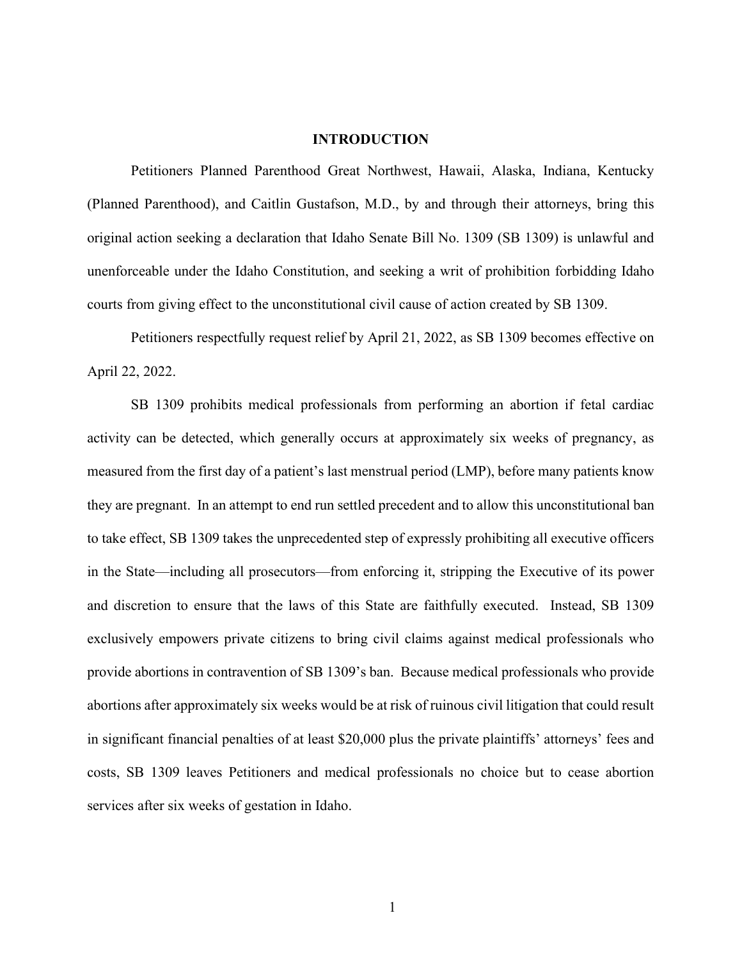### **INTRODUCTION**

Petitioners Planned Parenthood Great Northwest, Hawaii, Alaska, Indiana, Kentucky (Planned Parenthood), and Caitlin Gustafson, M.D., by and through their attorneys, bring this original action seeking a declaration that Idaho Senate Bill No. 1309 (SB 1309) is unlawful and unenforceable under the Idaho Constitution, and seeking a writ of prohibition forbidding Idaho courts from giving effect to the unconstitutional civil cause of action created by SB 1309.

Petitioners respectfully request relief by April 21, 2022, as SB 1309 becomes effective on April 22, 2022.

SB 1309 prohibits medical professionals from performing an abortion if fetal cardiac activity can be detected, which generally occurs at approximately six weeks of pregnancy, as measured from the first day of a patient's last menstrual period (LMP), before many patients know they are pregnant. In an attempt to end run settled precedent and to allow this unconstitutional ban to take effect, SB 1309 takes the unprecedented step of expressly prohibiting all executive officers in the State—including all prosecutors—from enforcing it, stripping the Executive of its power and discretion to ensure that the laws of this State are faithfully executed. Instead, SB 1309 exclusively empowers private citizens to bring civil claims against medical professionals who provide abortions in contravention of SB 1309's ban. Because medical professionals who provide abortions after approximately six weeks would be at risk of ruinous civil litigation that could result in significant financial penalties of at least \$20,000 plus the private plaintiffs' attorneys' fees and costs, SB 1309 leaves Petitioners and medical professionals no choice but to cease abortion services after six weeks of gestation in Idaho.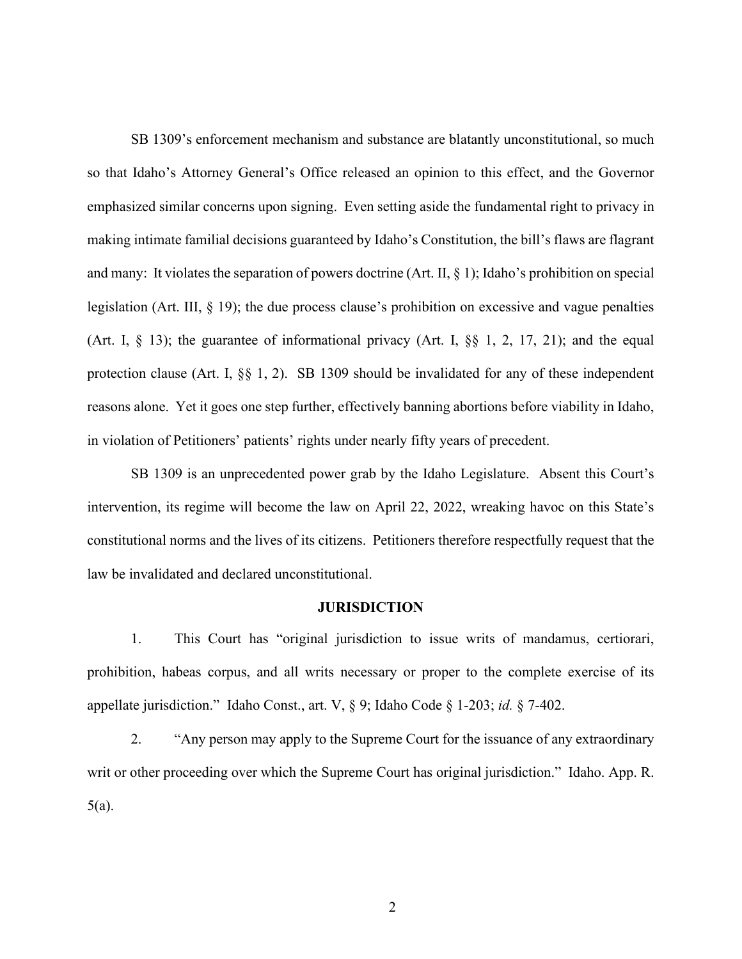SB 1309's enforcement mechanism and substance are blatantly unconstitutional, so much so that Idaho's Attorney General's Office released an opinion to this effect, and the Governor emphasized similar concerns upon signing. Even setting aside the fundamental right to privacy in making intimate familial decisions guaranteed by Idaho's Constitution, the bill's flaws are flagrant and many: It violates the separation of powers doctrine (Art. II, § 1); Idaho's prohibition on special legislation (Art. III, § 19); the due process clause's prohibition on excessive and vague penalties (Art. I, § 13); the guarantee of informational privacy (Art. I, §§ 1, 2, 17, 21); and the equal protection clause (Art. I, §§ 1, 2). SB 1309 should be invalidated for any of these independent reasons alone. Yet it goes one step further, effectively banning abortions before viability in Idaho, in violation of Petitioners' patients' rights under nearly fifty years of precedent.

SB 1309 is an unprecedented power grab by the Idaho Legislature. Absent this Court's intervention, its regime will become the law on April 22, 2022, wreaking havoc on this State's constitutional norms and the lives of its citizens. Petitioners therefore respectfully request that the law be invalidated and declared unconstitutional.

### **JURISDICTION**

1. This Court has "original jurisdiction to issue writs of mandamus, certiorari, prohibition, habeas corpus, and all writs necessary or proper to the complete exercise of its appellate jurisdiction." Idaho Const., art. V, § 9; Idaho Code § 1-203; *id.* § 7-402.

2. "Any person may apply to the Supreme Court for the issuance of any extraordinary writ or other proceeding over which the Supreme Court has original jurisdiction." Idaho. App. R. 5(a).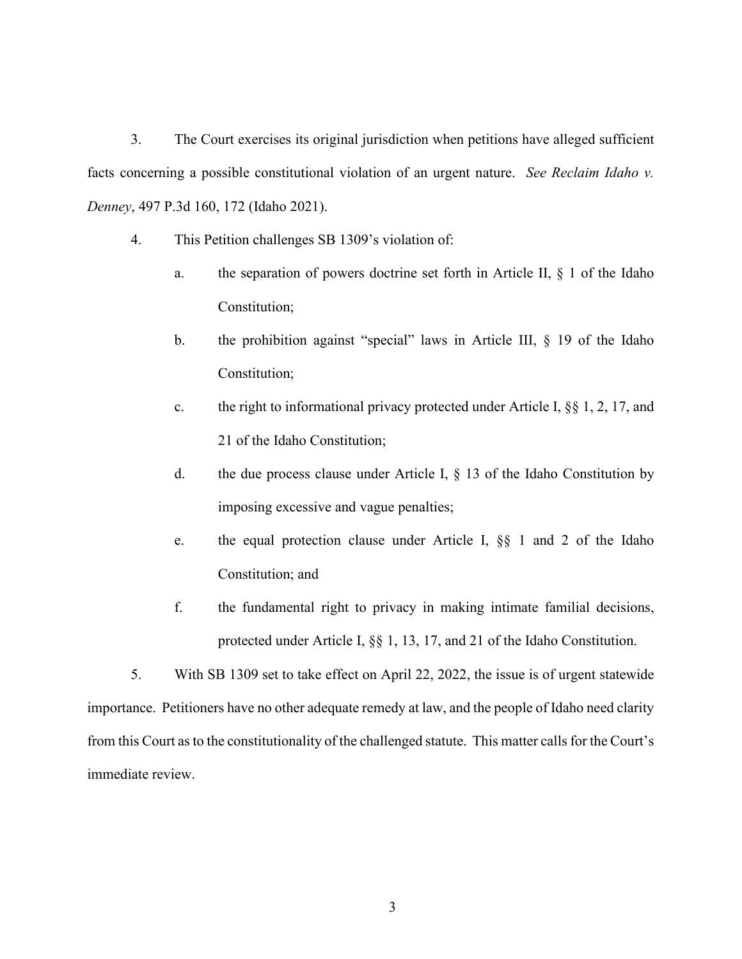3. The Court exercises its original jurisdiction when petitions have alleged sufficient facts concerning a possible constitutional violation of an urgent nature. *See Reclaim Idaho v. Denney*, 497 P.3d 160, 172 (Idaho 2021).

- 4. This Petition challenges SB 1309's violation of:
	- a. the separation of powers doctrine set forth in Article II, § 1 of the Idaho Constitution;
	- b. the prohibition against "special" laws in Article III, § 19 of the Idaho Constitution;
	- c. the right to informational privacy protected under Article I, §§ 1, 2, 17, and 21 of the Idaho Constitution;
	- d. the due process clause under Article I,  $\S$  13 of the Idaho Constitution by imposing excessive and vague penalties;
	- e. the equal protection clause under Article I, §§ 1 and 2 of the Idaho Constitution; and
	- f. the fundamental right to privacy in making intimate familial decisions, protected under Article I, §§ 1, 13, 17, and 21 of the Idaho Constitution.

5. With SB 1309 set to take effect on April 22, 2022, the issue is of urgent statewide importance. Petitioners have no other adequate remedy at law, and the people of Idaho need clarity from this Court as to the constitutionality of the challenged statute. This matter calls for the Court's immediate review.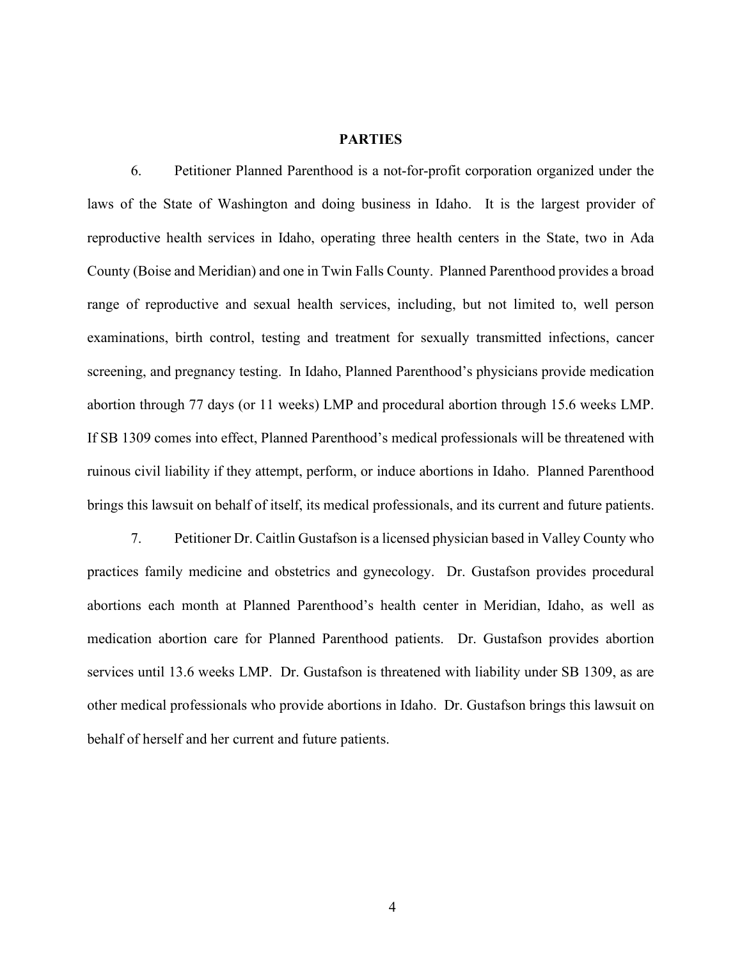### **PARTIES**

6. Petitioner Planned Parenthood is a not-for-profit corporation organized under the laws of the State of Washington and doing business in Idaho. It is the largest provider of reproductive health services in Idaho, operating three health centers in the State, two in Ada County (Boise and Meridian) and one in Twin Falls County. Planned Parenthood provides a broad range of reproductive and sexual health services, including, but not limited to, well person examinations, birth control, testing and treatment for sexually transmitted infections, cancer screening, and pregnancy testing. In Idaho, Planned Parenthood's physicians provide medication abortion through 77 days (or 11 weeks) LMP and procedural abortion through 15.6 weeks LMP. If SB 1309 comes into effect, Planned Parenthood's medical professionals will be threatened with ruinous civil liability if they attempt, perform, or induce abortions in Idaho. Planned Parenthood brings this lawsuit on behalf of itself, its medical professionals, and its current and future patients.

7. Petitioner Dr. Caitlin Gustafson is a licensed physician based in Valley County who practices family medicine and obstetrics and gynecology. Dr. Gustafson provides procedural abortions each month at Planned Parenthood's health center in Meridian, Idaho, as well as medication abortion care for Planned Parenthood patients. Dr. Gustafson provides abortion services until 13.6 weeks LMP. Dr. Gustafson is threatened with liability under SB 1309, as are other medical professionals who provide abortions in Idaho. Dr. Gustafson brings this lawsuit on behalf of herself and her current and future patients.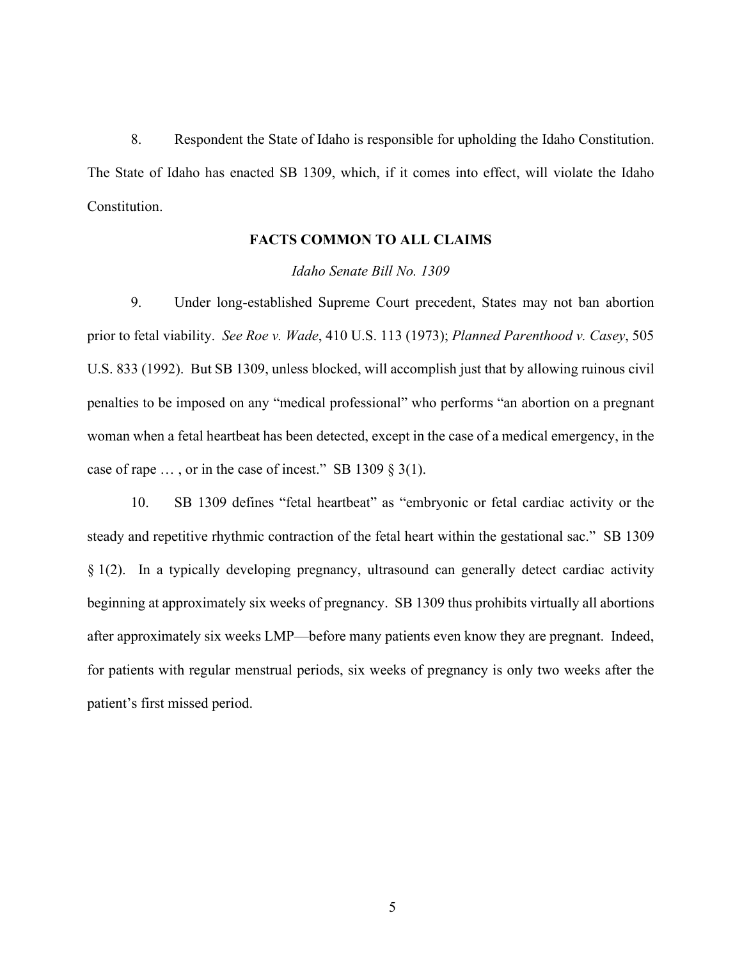8. Respondent the State of Idaho is responsible for upholding the Idaho Constitution. The State of Idaho has enacted SB 1309, which, if it comes into effect, will violate the Idaho Constitution.

# **FACTS COMMON TO ALL CLAIMS**

### *Idaho Senate Bill No. 1309*

9. Under long-established Supreme Court precedent, States may not ban abortion prior to fetal viability. *See Roe v. Wade*, 410 U.S. 113 (1973); *Planned Parenthood v. Casey*, 505 U.S. 833 (1992). But SB 1309, unless blocked, will accomplish just that by allowing ruinous civil penalties to be imposed on any "medical professional" who performs "an abortion on a pregnant woman when a fetal heartbeat has been detected, except in the case of a medical emergency, in the case of rape  $\ldots$ , or in the case of incest." SB 1309 § 3(1).

10. SB 1309 defines "fetal heartbeat" as "embryonic or fetal cardiac activity or the steady and repetitive rhythmic contraction of the fetal heart within the gestational sac." SB 1309 § 1(2). In a typically developing pregnancy, ultrasound can generally detect cardiac activity beginning at approximately six weeks of pregnancy. SB 1309 thus prohibits virtually all abortions after approximately six weeks LMP—before many patients even know they are pregnant. Indeed, for patients with regular menstrual periods, six weeks of pregnancy is only two weeks after the patient's first missed period.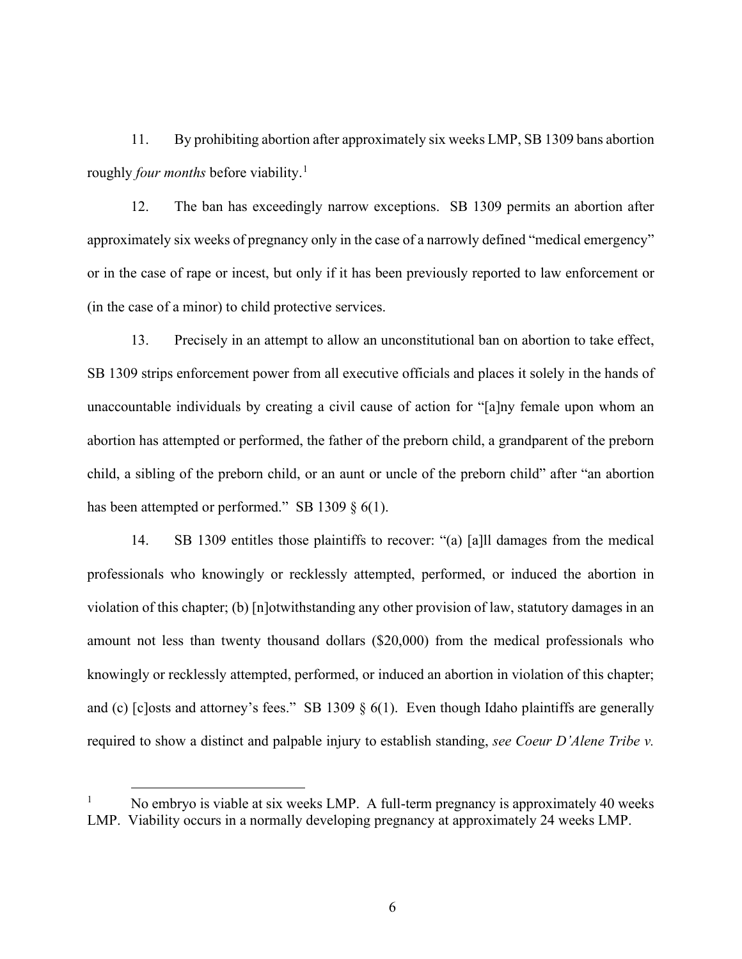11. By prohibiting abortion after approximately six weeks LMP, SB 1309 bans abortion roughly *four months* before viability.<sup>[1](#page-6-0)</sup>

12. The ban has exceedingly narrow exceptions. SB 1309 permits an abortion after approximately six weeks of pregnancy only in the case of a narrowly defined "medical emergency" or in the case of rape or incest, but only if it has been previously reported to law enforcement or (in the case of a minor) to child protective services.

13. Precisely in an attempt to allow an unconstitutional ban on abortion to take effect, SB 1309 strips enforcement power from all executive officials and places it solely in the hands of unaccountable individuals by creating a civil cause of action for "[a]ny female upon whom an abortion has attempted or performed, the father of the preborn child, a grandparent of the preborn child, a sibling of the preborn child, or an aunt or uncle of the preborn child" after "an abortion has been attempted or performed." SB 1309  $\S$  6(1).

14. SB 1309 entitles those plaintiffs to recover: "(a) [a]ll damages from the medical professionals who knowingly or recklessly attempted, performed, or induced the abortion in violation of this chapter; (b) [n]otwithstanding any other provision of law, statutory damages in an amount not less than twenty thousand dollars (\$20,000) from the medical professionals who knowingly or recklessly attempted, performed, or induced an abortion in violation of this chapter; and (c) [c]osts and attorney's fees." SB 1309  $\S$  6(1). Even though Idaho plaintiffs are generally required to show a distinct and palpable injury to establish standing, *see Coeur D'Alene Tribe v.* 

<span id="page-6-0"></span>No embryo is viable at six weeks LMP. A full-term pregnancy is approximately 40 weeks LMP. Viability occurs in a normally developing pregnancy at approximately 24 weeks LMP.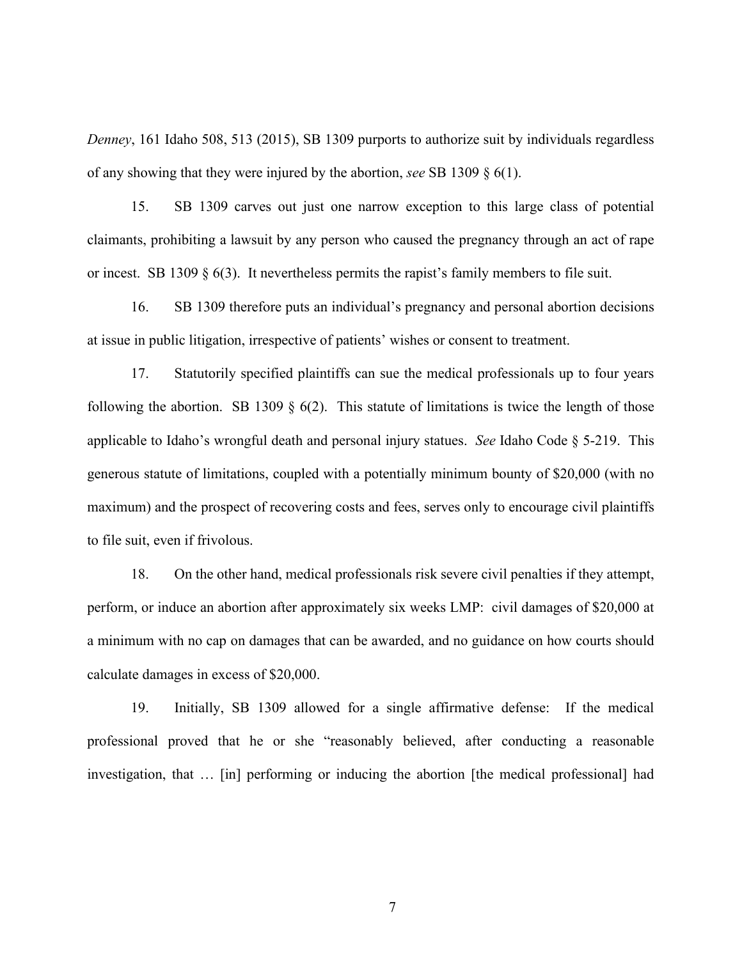*Denney*, 161 Idaho 508, 513 (2015), SB 1309 purports to authorize suit by individuals regardless of any showing that they were injured by the abortion, *see* SB 1309 § 6(1).

15. SB 1309 carves out just one narrow exception to this large class of potential claimants, prohibiting a lawsuit by any person who caused the pregnancy through an act of rape or incest. SB 1309  $\S$  6(3). It nevertheless permits the rapist's family members to file suit.

16. SB 1309 therefore puts an individual's pregnancy and personal abortion decisions at issue in public litigation, irrespective of patients' wishes or consent to treatment.

17. Statutorily specified plaintiffs can sue the medical professionals up to four years following the abortion. SB 1309  $\S$  6(2). This statute of limitations is twice the length of those applicable to Idaho's wrongful death and personal injury statues. *See* Idaho Code § 5-219. This generous statute of limitations, coupled with a potentially minimum bounty of \$20,000 (with no maximum) and the prospect of recovering costs and fees, serves only to encourage civil plaintiffs to file suit, even if frivolous.

18. On the other hand, medical professionals risk severe civil penalties if they attempt, perform, or induce an abortion after approximately six weeks LMP: civil damages of \$20,000 at a minimum with no cap on damages that can be awarded, and no guidance on how courts should calculate damages in excess of \$20,000.

19. Initially, SB 1309 allowed for a single affirmative defense: If the medical professional proved that he or she "reasonably believed, after conducting a reasonable investigation, that … [in] performing or inducing the abortion [the medical professional] had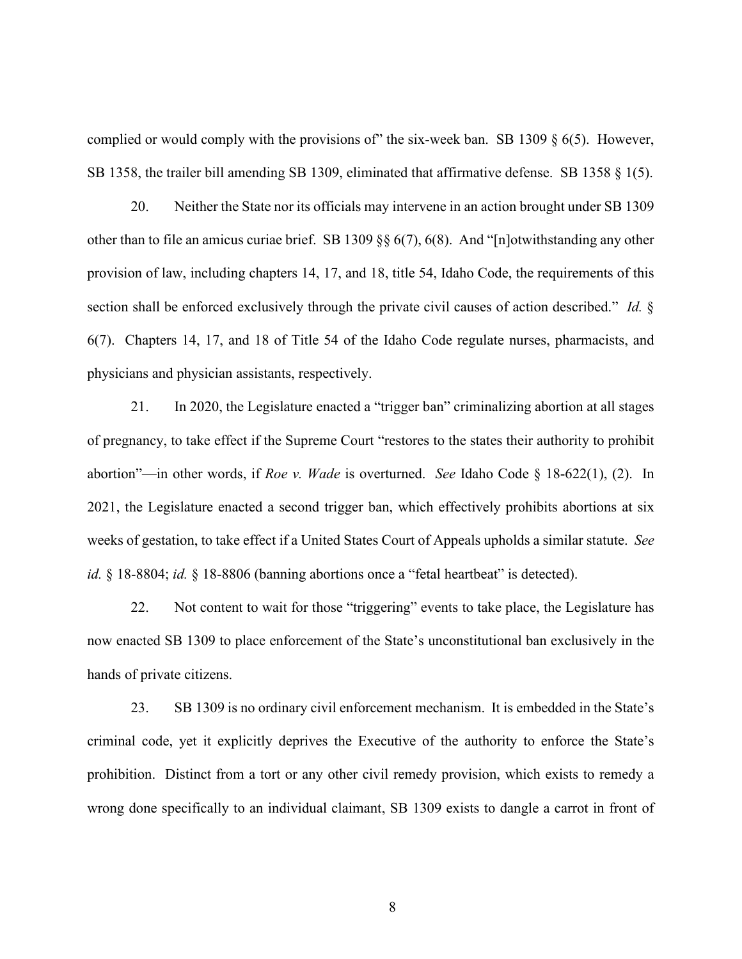complied or would comply with the provisions of" the six-week ban. SB 1309  $\S$  6(5). However, SB 1358, the trailer bill amending SB 1309, eliminated that affirmative defense. SB 1358 § 1(5).

20. Neither the State nor its officials may intervene in an action brought under SB 1309 other than to file an amicus curiae brief. SB 1309 §§ 6(7), 6(8). And "[n]otwithstanding any other provision of law, including chapters 14, 17, and 18, title 54, Idaho Code, the requirements of this section shall be enforced exclusively through the private civil causes of action described." *Id.* § 6(7). Chapters 14, 17, and 18 of Title 54 of the Idaho Code regulate nurses, pharmacists, and physicians and physician assistants, respectively.

21. In 2020, the Legislature enacted a "trigger ban" criminalizing abortion at all stages of pregnancy, to take effect if the Supreme Court "restores to the states their authority to prohibit abortion"—in other words, if *Roe v. Wade* is overturned. *See* Idaho Code § 18-622(1), (2). In 2021, the Legislature enacted a second trigger ban, which effectively prohibits abortions at six weeks of gestation, to take effect if a United States Court of Appeals upholds a similar statute. *See id.* § 18-8804; *id.* § 18-8806 (banning abortions once a "fetal heartbeat" is detected).

22. Not content to wait for those "triggering" events to take place, the Legislature has now enacted SB 1309 to place enforcement of the State's unconstitutional ban exclusively in the hands of private citizens.

23. SB 1309 is no ordinary civil enforcement mechanism. It is embedded in the State's criminal code, yet it explicitly deprives the Executive of the authority to enforce the State's prohibition. Distinct from a tort or any other civil remedy provision, which exists to remedy a wrong done specifically to an individual claimant, SB 1309 exists to dangle a carrot in front of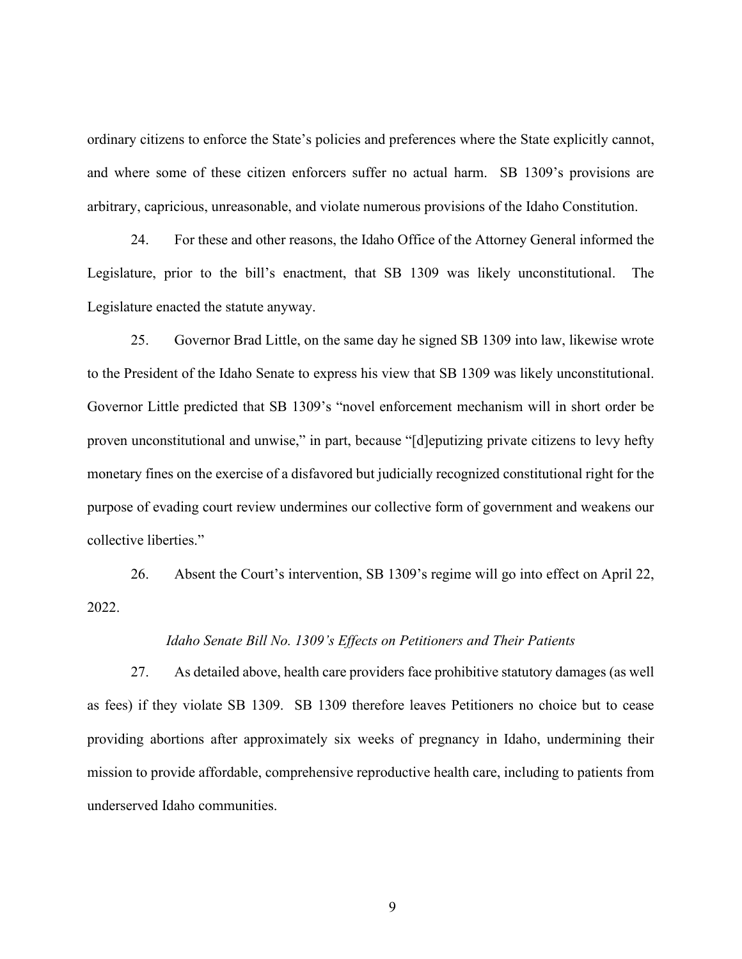ordinary citizens to enforce the State's policies and preferences where the State explicitly cannot, and where some of these citizen enforcers suffer no actual harm. SB 1309's provisions are arbitrary, capricious, unreasonable, and violate numerous provisions of the Idaho Constitution.

24. For these and other reasons, the Idaho Office of the Attorney General informed the Legislature, prior to the bill's enactment, that SB 1309 was likely unconstitutional. The Legislature enacted the statute anyway.

25. Governor Brad Little, on the same day he signed SB 1309 into law, likewise wrote to the President of the Idaho Senate to express his view that SB 1309 was likely unconstitutional. Governor Little predicted that SB 1309's "novel enforcement mechanism will in short order be proven unconstitutional and unwise," in part, because "[d]eputizing private citizens to levy hefty monetary fines on the exercise of a disfavored but judicially recognized constitutional right for the purpose of evading court review undermines our collective form of government and weakens our collective liberties."

26. Absent the Court's intervention, SB 1309's regime will go into effect on April 22, 2022.

### *Idaho Senate Bill No. 1309's Effects on Petitioners and Their Patients*

27. As detailed above, health care providers face prohibitive statutory damages (as well as fees) if they violate SB 1309. SB 1309 therefore leaves Petitioners no choice but to cease providing abortions after approximately six weeks of pregnancy in Idaho, undermining their mission to provide affordable, comprehensive reproductive health care, including to patients from underserved Idaho communities.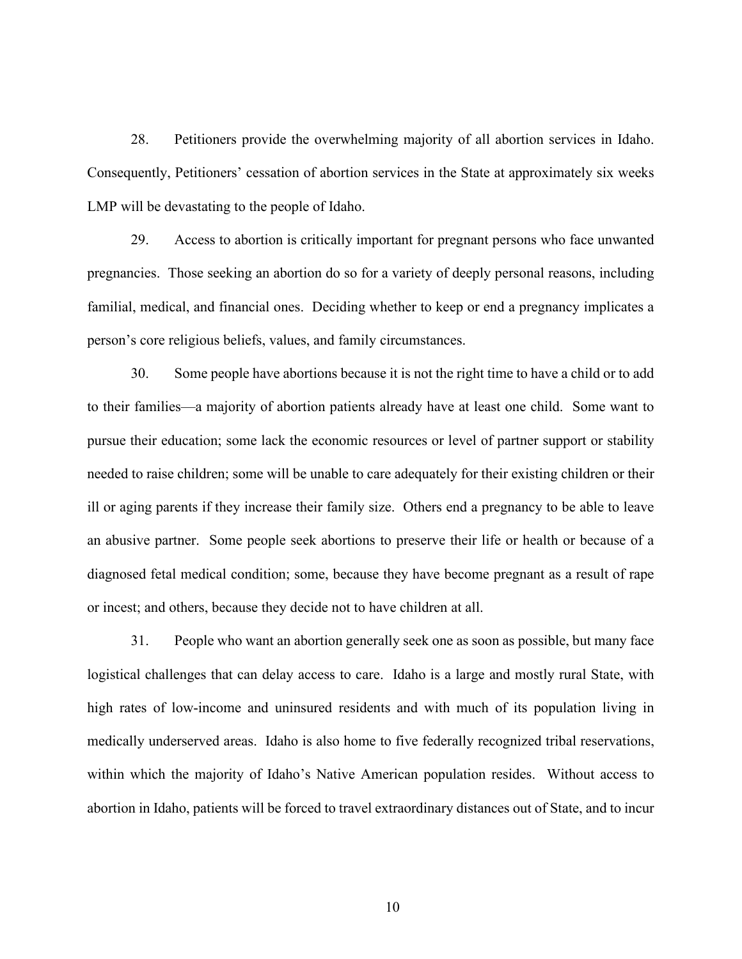28. Petitioners provide the overwhelming majority of all abortion services in Idaho. Consequently, Petitioners' cessation of abortion services in the State at approximately six weeks LMP will be devastating to the people of Idaho.

29. Access to abortion is critically important for pregnant persons who face unwanted pregnancies. Those seeking an abortion do so for a variety of deeply personal reasons, including familial, medical, and financial ones. Deciding whether to keep or end a pregnancy implicates a person's core religious beliefs, values, and family circumstances.

30. Some people have abortions because it is not the right time to have a child or to add to their families—a majority of abortion patients already have at least one child. Some want to pursue their education; some lack the economic resources or level of partner support or stability needed to raise children; some will be unable to care adequately for their existing children or their ill or aging parents if they increase their family size. Others end a pregnancy to be able to leave an abusive partner. Some people seek abortions to preserve their life or health or because of a diagnosed fetal medical condition; some, because they have become pregnant as a result of rape or incest; and others, because they decide not to have children at all.

31. People who want an abortion generally seek one as soon as possible, but many face logistical challenges that can delay access to care. Idaho is a large and mostly rural State, with high rates of low-income and uninsured residents and with much of its population living in medically underserved areas. Idaho is also home to five federally recognized tribal reservations, within which the majority of Idaho's Native American population resides. Without access to abortion in Idaho, patients will be forced to travel extraordinary distances out of State, and to incur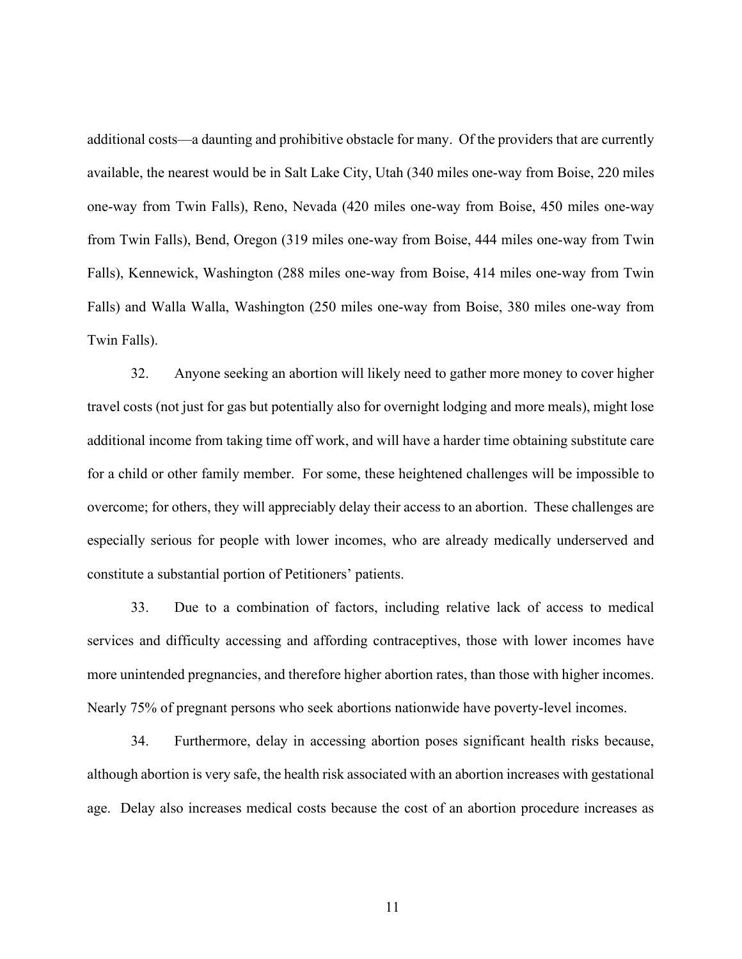additional costs—a daunting and prohibitive obstacle for many. Of the providers that are currently available, the nearest would be in Salt Lake City, Utah (340 miles one-way from Boise, 220 miles one-way from Twin Falls), Reno, Nevada (420 miles one-way from Boise, 450 miles one-way from Twin Falls), Bend, Oregon (319 miles one-way from Boise, 444 miles one-way from Twin Falls), Kennewick, Washington (288 miles one-way from Boise, 414 miles one-way from Twin Falls) and Walla Walla, Washington (250 miles one-way from Boise, 380 miles one-way from Twin Falls).

32. Anyone seeking an abortion will likely need to gather more money to cover higher travel costs (not just for gas but potentially also for overnight lodging and more meals), might lose additional income from taking time off work, and will have a harder time obtaining substitute care for a child or other family member. For some, these heightened challenges will be impossible to overcome; for others, they will appreciably delay their access to an abortion. These challenges are especially serious for people with lower incomes, who are already medically underserved and constitute a substantial portion of Petitioners' patients.

33. Due to a combination of factors, including relative lack of access to medical services and difficulty accessing and affording contraceptives, those with lower incomes have more unintended pregnancies, and therefore higher abortion rates, than those with higher incomes. Nearly 75% of pregnant persons who seek abortions nationwide have poverty-level incomes.

34. Furthermore, delay in accessing abortion poses significant health risks because, although abortion is very safe, the health risk associated with an abortion increases with gestational age. Delay also increases medical costs because the cost of an abortion procedure increases as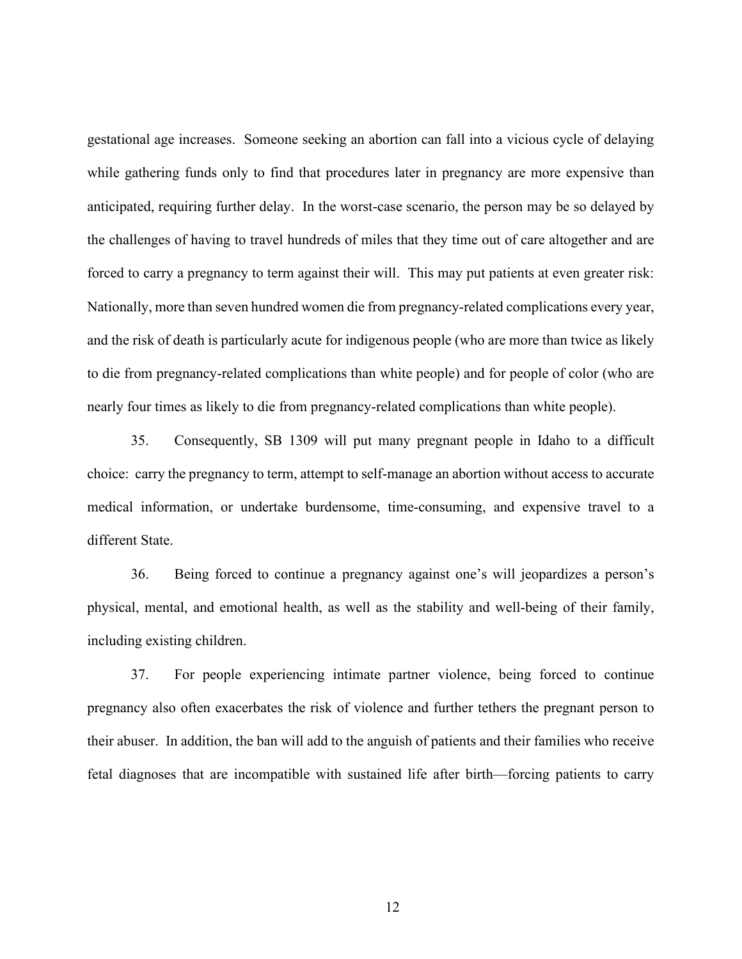gestational age increases. Someone seeking an abortion can fall into a vicious cycle of delaying while gathering funds only to find that procedures later in pregnancy are more expensive than anticipated, requiring further delay. In the worst-case scenario, the person may be so delayed by the challenges of having to travel hundreds of miles that they time out of care altogether and are forced to carry a pregnancy to term against their will. This may put patients at even greater risk: Nationally, more than seven hundred women die from pregnancy-related complications every year, and the risk of death is particularly acute for indigenous people (who are more than twice as likely to die from pregnancy-related complications than white people) and for people of color (who are nearly four times as likely to die from pregnancy-related complications than white people).

35. Consequently, SB 1309 will put many pregnant people in Idaho to a difficult choice: carry the pregnancy to term, attempt to self-manage an abortion without access to accurate medical information, or undertake burdensome, time-consuming, and expensive travel to a different State.

36. Being forced to continue a pregnancy against one's will jeopardizes a person's physical, mental, and emotional health, as well as the stability and well-being of their family, including existing children.

37. For people experiencing intimate partner violence, being forced to continue pregnancy also often exacerbates the risk of violence and further tethers the pregnant person to their abuser. In addition, the ban will add to the anguish of patients and their families who receive fetal diagnoses that are incompatible with sustained life after birth—forcing patients to carry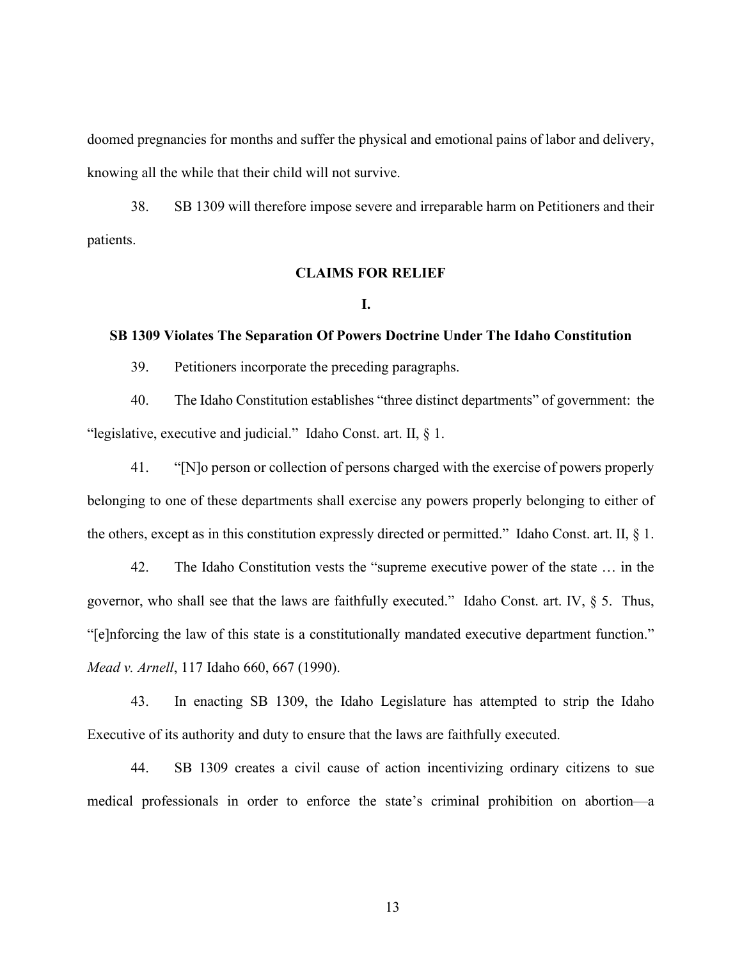doomed pregnancies for months and suffer the physical and emotional pains of labor and delivery, knowing all the while that their child will not survive.

38. SB 1309 will therefore impose severe and irreparable harm on Petitioners and their patients.

# **CLAIMS FOR RELIEF**

#### **I.**

### **SB 1309 Violates The Separation Of Powers Doctrine Under The Idaho Constitution**

39. Petitioners incorporate the preceding paragraphs.

40. The Idaho Constitution establishes "three distinct departments" of government: the "legislative, executive and judicial." Idaho Const. art. II, § 1.

41. "[N]o person or collection of persons charged with the exercise of powers properly belonging to one of these departments shall exercise any powers properly belonging to either of the others, except as in this constitution expressly directed or permitted." Idaho Const. art. II, § 1.

42. The Idaho Constitution vests the "supreme executive power of the state … in the governor, who shall see that the laws are faithfully executed." Idaho Const. art. IV,  $\S$  5. Thus, "[e]nforcing the law of this state is a constitutionally mandated executive department function." *Mead v. Arnell*, 117 Idaho 660, 667 (1990).

43. In enacting SB 1309, the Idaho Legislature has attempted to strip the Idaho Executive of its authority and duty to ensure that the laws are faithfully executed.

44. SB 1309 creates a civil cause of action incentivizing ordinary citizens to sue medical professionals in order to enforce the state's criminal prohibition on abortion—a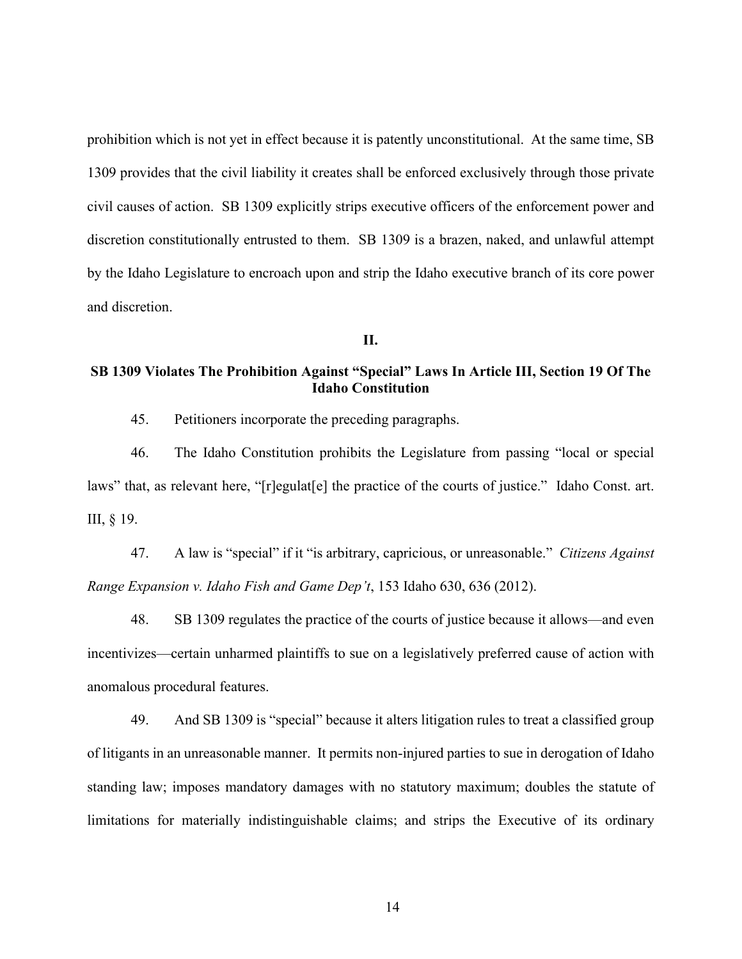prohibition which is not yet in effect because it is patently unconstitutional. At the same time, SB 1309 provides that the civil liability it creates shall be enforced exclusively through those private civil causes of action. SB 1309 explicitly strips executive officers of the enforcement power and discretion constitutionally entrusted to them. SB 1309 is a brazen, naked, and unlawful attempt by the Idaho Legislature to encroach upon and strip the Idaho executive branch of its core power and discretion.

**II.**

# **SB 1309 Violates The Prohibition Against "Special" Laws In Article III, Section 19 Of The Idaho Constitution**

45. Petitioners incorporate the preceding paragraphs.

46. The Idaho Constitution prohibits the Legislature from passing "local or special laws" that, as relevant here, "[r]egulat[e] the practice of the courts of justice." Idaho Const. art. III, § 19.

47. A law is "special" if it "is arbitrary, capricious, or unreasonable." *Citizens Against Range Expansion v. Idaho Fish and Game Dep't*, 153 Idaho 630, 636 (2012).

48. SB 1309 regulates the practice of the courts of justice because it allows—and even incentivizes—certain unharmed plaintiffs to sue on a legislatively preferred cause of action with anomalous procedural features.

49. And SB 1309 is "special" because it alters litigation rules to treat a classified group of litigants in an unreasonable manner. It permits non-injured parties to sue in derogation of Idaho standing law; imposes mandatory damages with no statutory maximum; doubles the statute of limitations for materially indistinguishable claims; and strips the Executive of its ordinary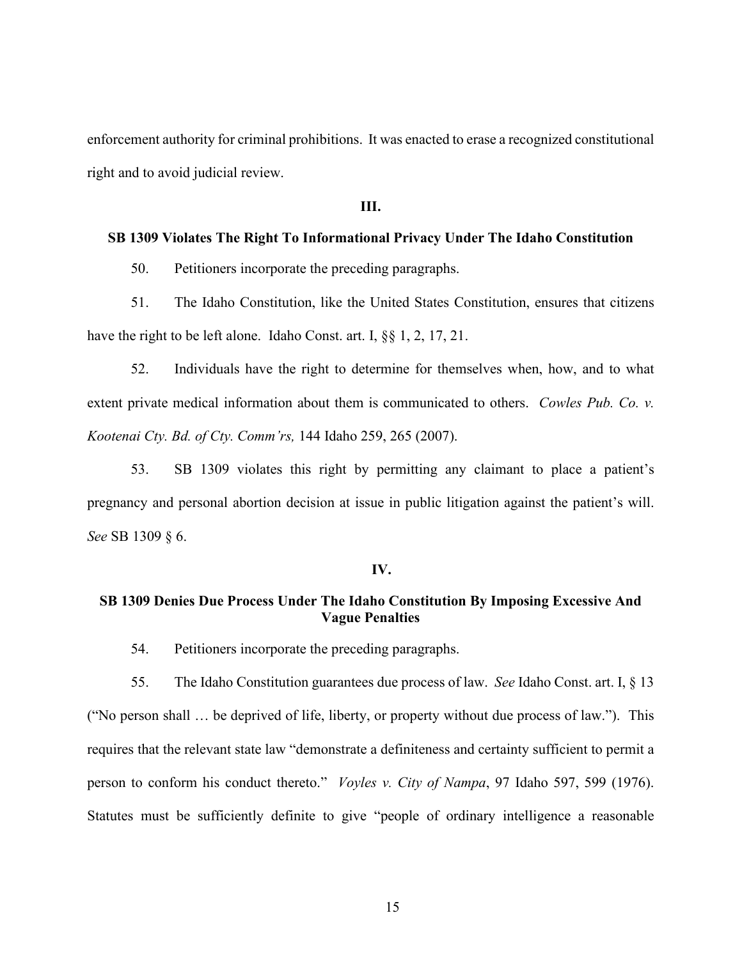enforcement authority for criminal prohibitions. It was enacted to erase a recognized constitutional right and to avoid judicial review.

**III.**

#### **SB 1309 Violates The Right To Informational Privacy Under The Idaho Constitution**

50. Petitioners incorporate the preceding paragraphs.

51. The Idaho Constitution, like the United States Constitution, ensures that citizens have the right to be left alone. Idaho Const. art. I, §§ 1, 2, 17, 21.

52. Individuals have the right to determine for themselves when, how, and to what extent private medical information about them is communicated to others. *Cowles Pub. Co. v. Kootenai Cty. Bd. of Cty. Comm'rs,* 144 Idaho 259, 265 (2007).

53. SB 1309 violates this right by permitting any claimant to place a patient's pregnancy and personal abortion decision at issue in public litigation against the patient's will. *See* SB 1309 § 6.

#### **IV.**

### **SB 1309 Denies Due Process Under The Idaho Constitution By Imposing Excessive And Vague Penalties**

54. Petitioners incorporate the preceding paragraphs.

55. The Idaho Constitution guarantees due process of law. *See* Idaho Const. art. I, § 13 ("No person shall … be deprived of life, liberty, or property without due process of law."). This requires that the relevant state law "demonstrate a definiteness and certainty sufficient to permit a person to conform his conduct thereto." *Voyles v. City of Nampa*, 97 Idaho 597, 599 (1976). Statutes must be sufficiently definite to give "people of ordinary intelligence a reasonable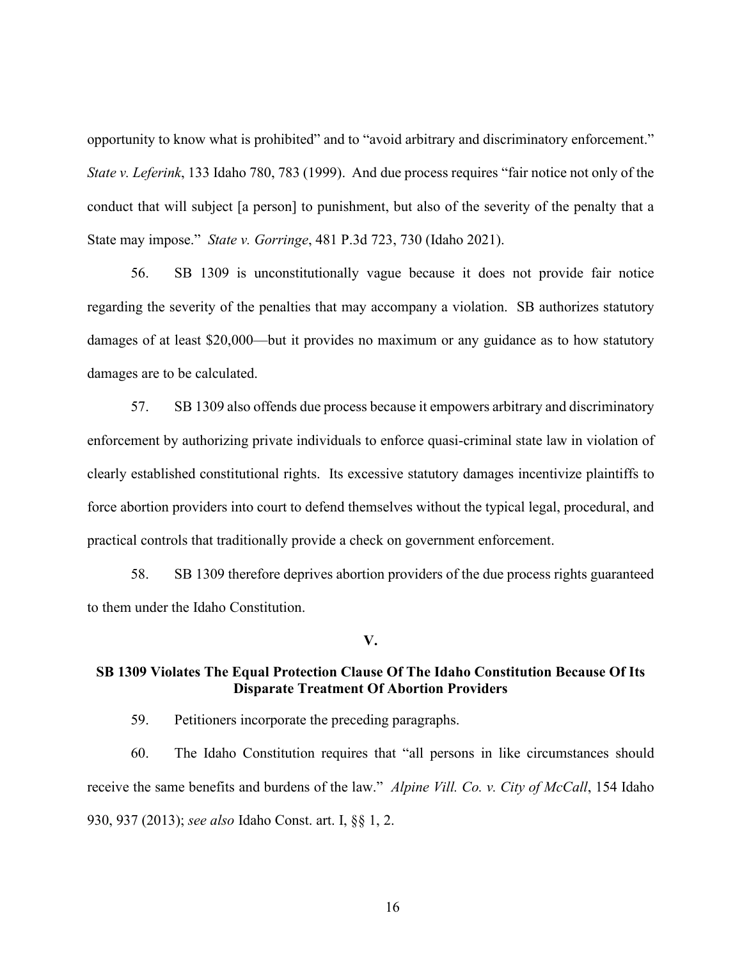opportunity to know what is prohibited" and to "avoid arbitrary and discriminatory enforcement." *State v. Leferink*, 133 Idaho 780, 783 (1999). And due process requires "fair notice not only of the conduct that will subject [a person] to punishment, but also of the severity of the penalty that a State may impose." *State v. Gorringe*, 481 P.3d 723, 730 (Idaho 2021).

56. SB 1309 is unconstitutionally vague because it does not provide fair notice regarding the severity of the penalties that may accompany a violation. SB authorizes statutory damages of at least \$20,000—but it provides no maximum or any guidance as to how statutory damages are to be calculated.

57. SB 1309 also offends due process because it empowers arbitrary and discriminatory enforcement by authorizing private individuals to enforce quasi-criminal state law in violation of clearly established constitutional rights. Its excessive statutory damages incentivize plaintiffs to force abortion providers into court to defend themselves without the typical legal, procedural, and practical controls that traditionally provide a check on government enforcement.

58. SB 1309 therefore deprives abortion providers of the due process rights guaranteed to them under the Idaho Constitution.

### **V.**

# **SB 1309 Violates The Equal Protection Clause Of The Idaho Constitution Because Of Its Disparate Treatment Of Abortion Providers**

59. Petitioners incorporate the preceding paragraphs.

60. The Idaho Constitution requires that "all persons in like circumstances should receive the same benefits and burdens of the law." *Alpine Vill. Co. v. City of McCall*, 154 Idaho 930, 937 (2013); *see also* Idaho Const. art. I, §§ 1, 2.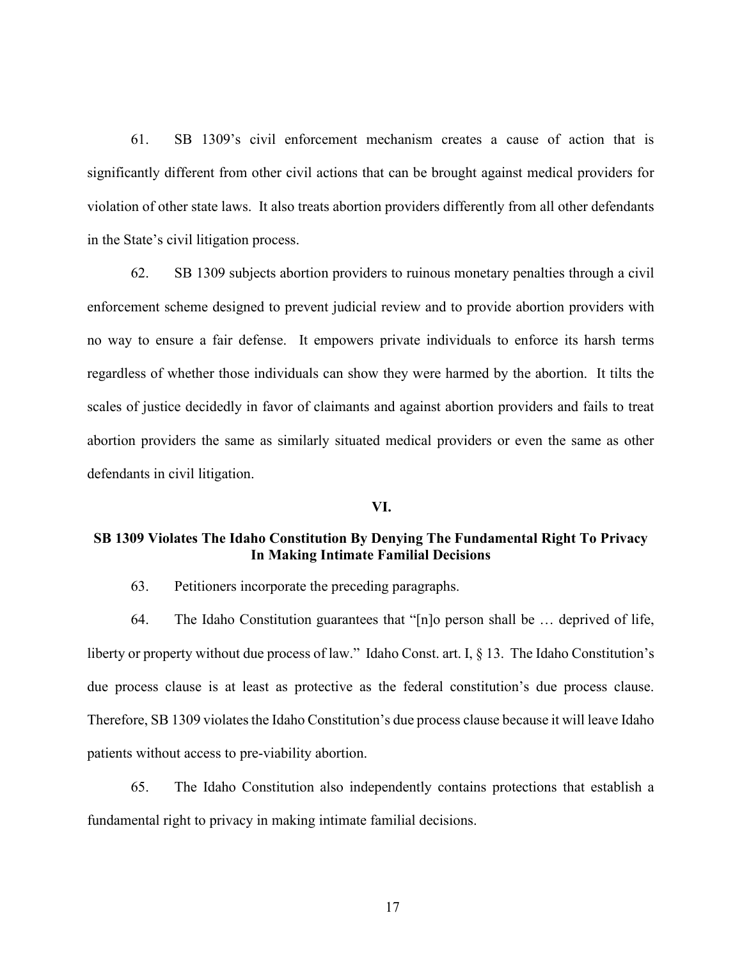61. SB 1309's civil enforcement mechanism creates a cause of action that is significantly different from other civil actions that can be brought against medical providers for violation of other state laws. It also treats abortion providers differently from all other defendants in the State's civil litigation process.

62. SB 1309 subjects abortion providers to ruinous monetary penalties through a civil enforcement scheme designed to prevent judicial review and to provide abortion providers with no way to ensure a fair defense. It empowers private individuals to enforce its harsh terms regardless of whether those individuals can show they were harmed by the abortion. It tilts the scales of justice decidedly in favor of claimants and against abortion providers and fails to treat abortion providers the same as similarly situated medical providers or even the same as other defendants in civil litigation.

#### **VI.**

# **SB 1309 Violates The Idaho Constitution By Denying The Fundamental Right To Privacy In Making Intimate Familial Decisions**

63. Petitioners incorporate the preceding paragraphs.

64. The Idaho Constitution guarantees that "[n]o person shall be … deprived of life, liberty or property without due process of law." Idaho Const. art. I, § 13. The Idaho Constitution's due process clause is at least as protective as the federal constitution's due process clause. Therefore, SB 1309 violates the Idaho Constitution's due process clause because it will leave Idaho patients without access to pre-viability abortion.

65. The Idaho Constitution also independently contains protections that establish a fundamental right to privacy in making intimate familial decisions.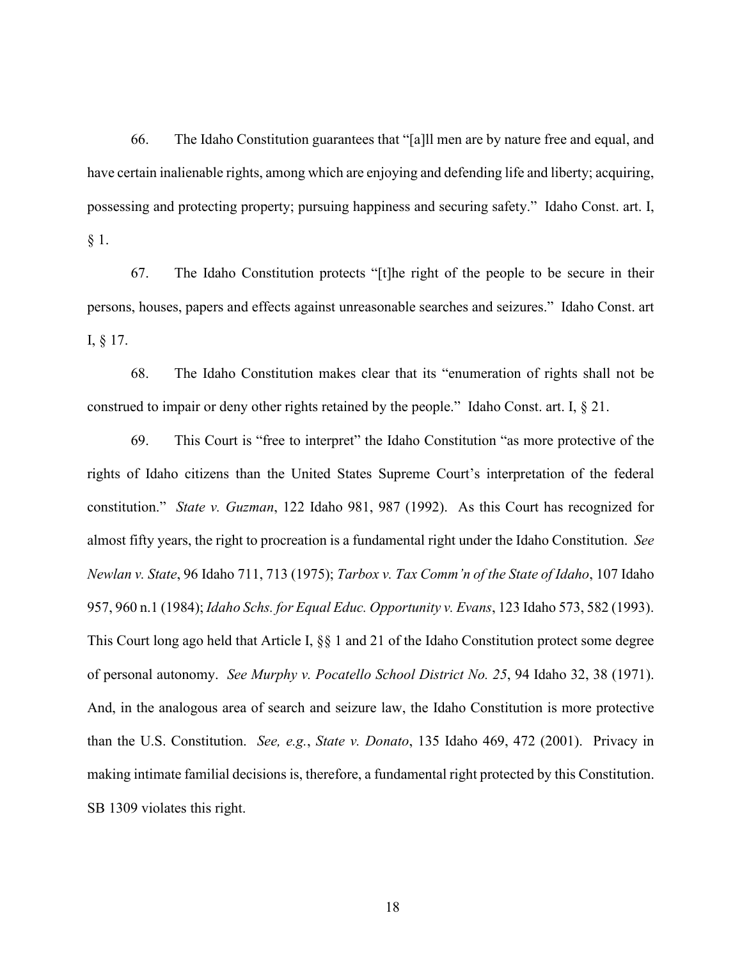66. The Idaho Constitution guarantees that "[a]ll men are by nature free and equal, and have certain inalienable rights, among which are enjoying and defending life and liberty; acquiring, possessing and protecting property; pursuing happiness and securing safety." Idaho Const. art. I, § 1.

67. The Idaho Constitution protects "[t]he right of the people to be secure in their persons, houses, papers and effects against unreasonable searches and seizures." Idaho Const. art I, § 17.

68. The Idaho Constitution makes clear that its "enumeration of rights shall not be construed to impair or deny other rights retained by the people." Idaho Const. art. I, § 21.

69. This Court is "free to interpret" the Idaho Constitution "as more protective of the rights of Idaho citizens than the United States Supreme Court's interpretation of the federal constitution." *State v. Guzman*, 122 Idaho 981, 987 (1992). As this Court has recognized for almost fifty years, the right to procreation is a fundamental right under the Idaho Constitution. *See Newlan v. State*, 96 Idaho 711, 713 (1975); *Tarbox v. Tax Comm'n of the State of Idaho*, 107 Idaho 957, 960 n.1 (1984); *Idaho Schs. for Equal Educ. Opportunity v. Evans*, 123 Idaho 573, 582 (1993). This Court long ago held that Article I, §§ 1 and 21 of the Idaho Constitution protect some degree of personal autonomy. *See Murphy v. Pocatello School District No. 25*, 94 Idaho 32, 38 (1971). And, in the analogous area of search and seizure law, the Idaho Constitution is more protective than the U.S. Constitution. *See, e.g.*, *State v. Donato*, 135 Idaho 469, 472 (2001). Privacy in making intimate familial decisions is, therefore, a fundamental right protected by this Constitution. SB 1309 violates this right.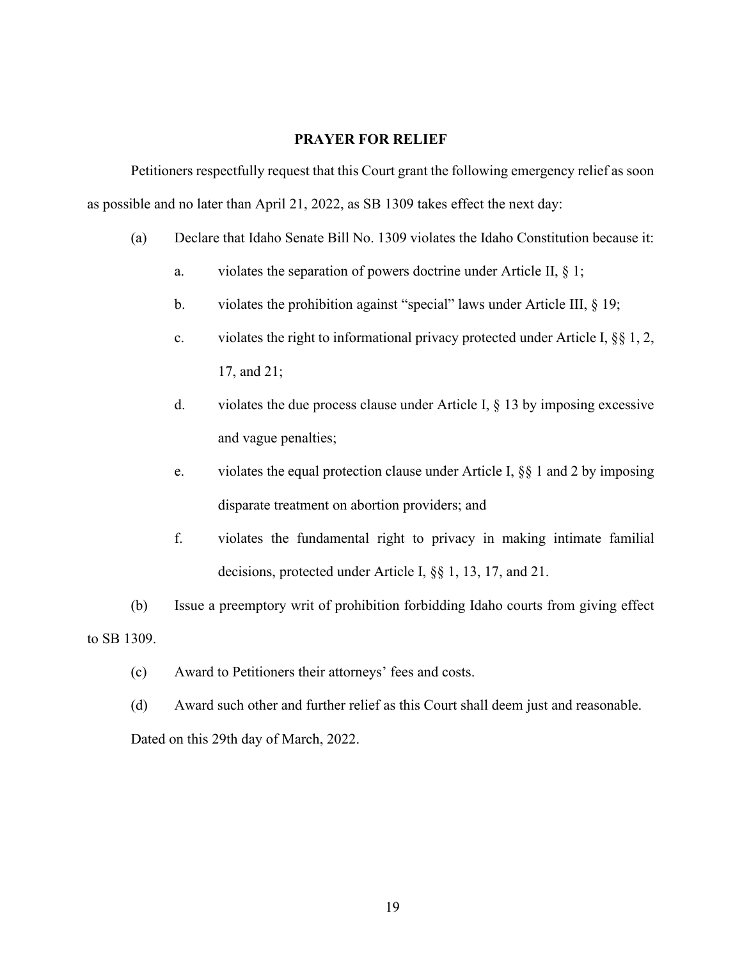### **PRAYER FOR RELIEF**

Petitioners respectfully request that this Court grant the following emergency relief as soon as possible and no later than April 21, 2022, as SB 1309 takes effect the next day:

- (a) Declare that Idaho Senate Bill No. 1309 violates the Idaho Constitution because it:
	- a. violates the separation of powers doctrine under Article II, § 1;
	- b. violates the prohibition against "special" laws under Article III, § 19;
	- c. violates the right to informational privacy protected under Article I, §§ 1, 2, 17, and 21;
	- d. violates the due process clause under Article I,  $\S$  13 by imposing excessive and vague penalties;
	- e. violates the equal protection clause under Article I, §§ 1 and 2 by imposing disparate treatment on abortion providers; and
	- f. violates the fundamental right to privacy in making intimate familial decisions, protected under Article I, §§ 1, 13, 17, and 21.
- (b) Issue a preemptory writ of prohibition forbidding Idaho courts from giving effect to SB 1309.
	- (c) Award to Petitioners their attorneys' fees and costs.
	- (d) Award such other and further relief as this Court shall deem just and reasonable. Dated on this 29th day of March, 2022.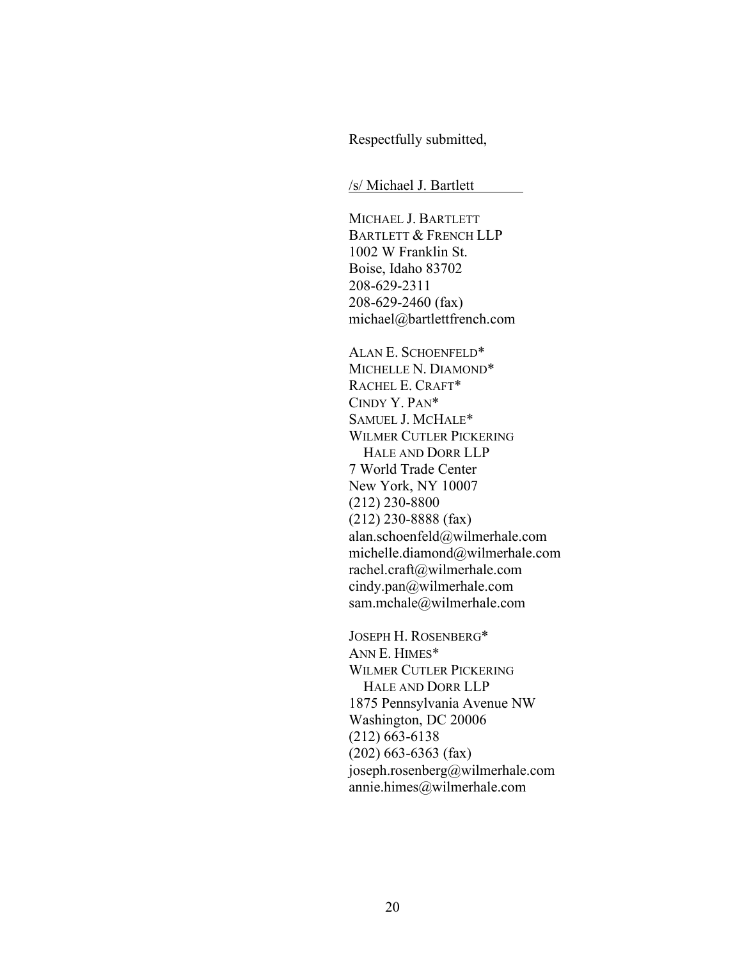Respectfully submitted,

/s/ Michael J. Bartlett

MICHAEL J. BARTLETT BARTLETT & FRENCH LLP 1002 W Franklin St. Boise, Idaho 83702 208-629-2311 208-629-2460 (fax) michael@bartlettfrench.com

ALAN E. SCHOENFELD\* MICHELLE N. DIAMOND\* RACHEL E. CRAFT\* CINDY Y. PAN\* SAMUEL J. MCHALE\* WILMER CUTLER PICKERING HALE AND DORR LLP 7 World Trade Center New York, NY 10007 (212) 230-8800 (212) 230-8888 (fax) alan.schoenfeld@wilmerhale.com michelle.diamond@wilmerhale.com rachel.craft@wilmerhale.com cindy.pan@wilmerhale.com sam.mchale@wilmerhale.com

JOSEPH H. ROSENBERG\* ANN E. HIMES\* WILMER CUTLER PICKERING HALE AND DORR LLP 1875 Pennsylvania Avenue NW Washington, DC 20006 (212) 663-6138 (202) 663-6363 (fax) joseph.rosenberg@wilmerhale.com annie.himes@wilmerhale.com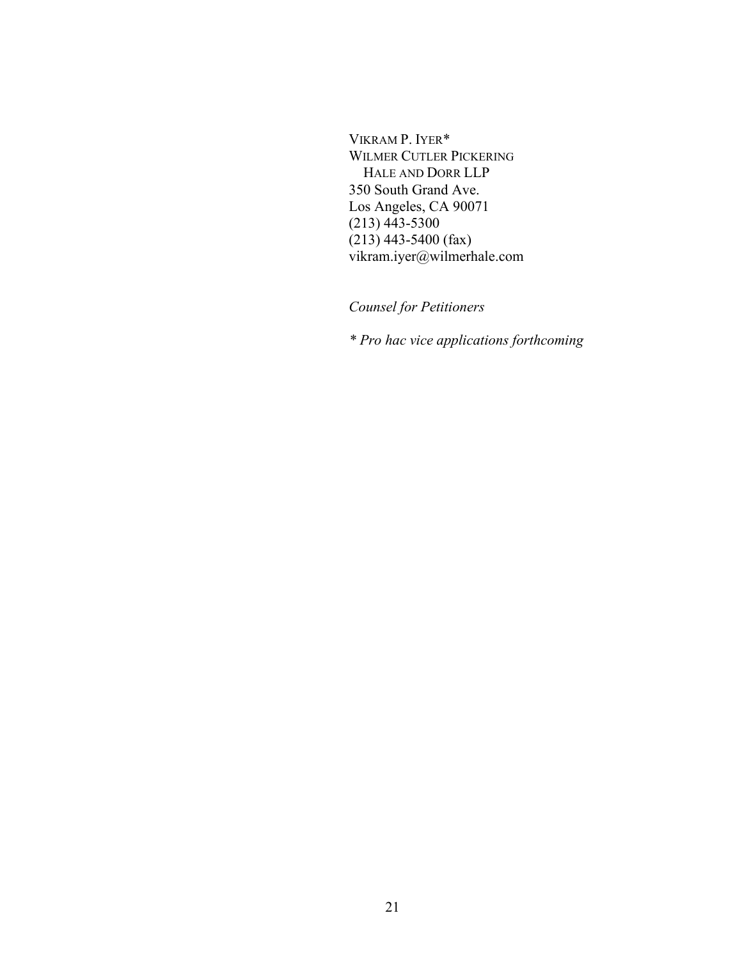VIKRAM P. IYER\* WILMER CUTLER PICKERING HALE AND DORR LLP 350 South Grand Ave. Los Angeles, CA 90071 (213) 443-5300 (213) 443-5400 (fax) vikram.iyer@wilmerhale.com

*Counsel for Petitioners*

*\* Pro hac vice applications forthcoming*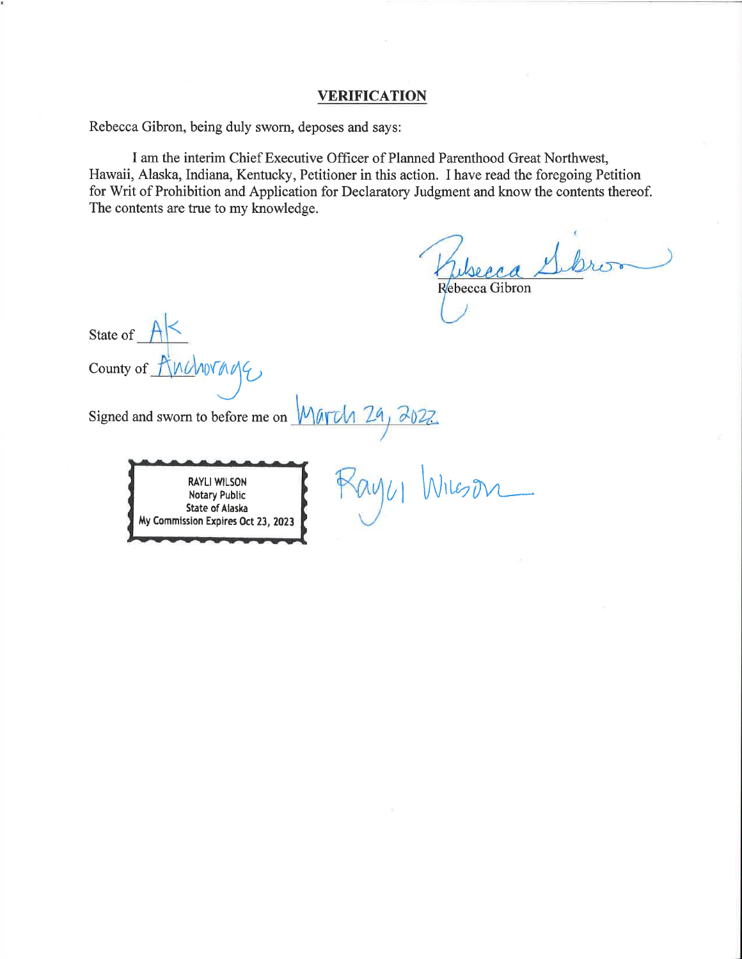### **VERIFICATION**

Rebecca Gibron, being duly sworn, deposes and says:

I am the interim Chief Executive Officer of Planned Parenthood Great Northwest, Hawaii, Alaska, Indiana, Kentucky, Petitioner in this action. I have read the foregoing Petition for Writ of Prohibition and Application for Declaratory Judgment and know the contents thereof. The contents are true to my knowledge.

Rebecca Gibron

State of County of ANDANTAGE  $4,7022$ Signed and sworn to before me on  $M$ **RAYLI WILSON Notary Public** State of Alaska My Commission Expires Oct 23, 2023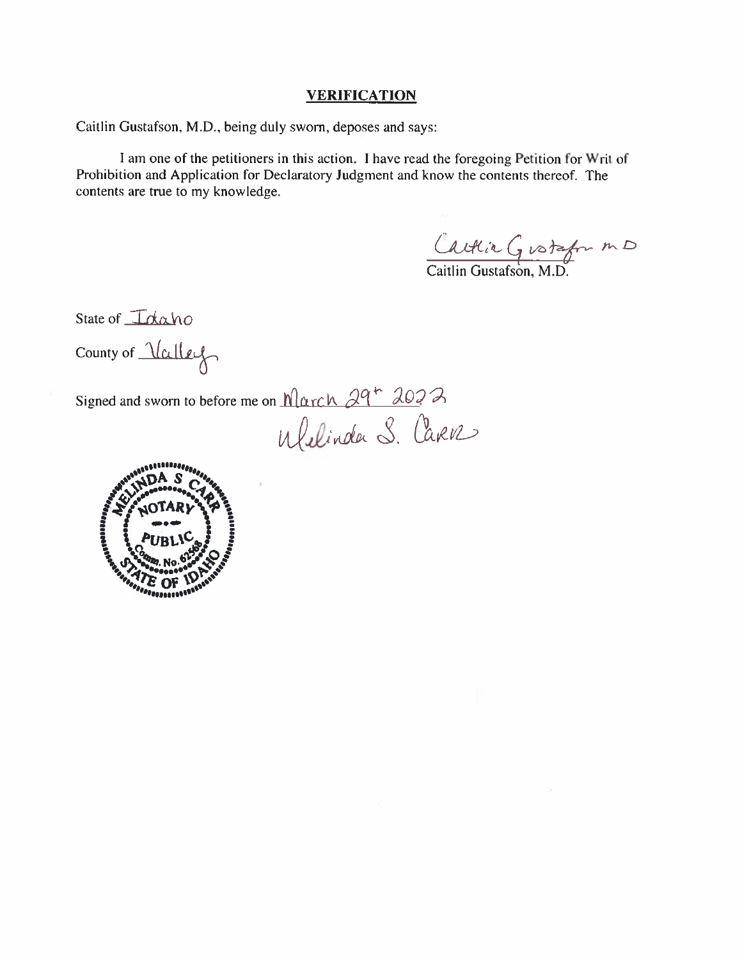### **VERIFICATION**

Caitlin Gustafson, M.D., being duly sworn, deposes and says:

I am one of the petitioners in this action. I have read the foregoing Petition for Writ of Prohibition and Application for Declaratory Judgment and know the contents thereof. The contents are true to my knowledge.

Caltin Gustafor MD

State of *Idaho* 

County of Valley

Signed and sworn to before me on March 29<sup>+</sup> 2022<br>Welinder S. Carve